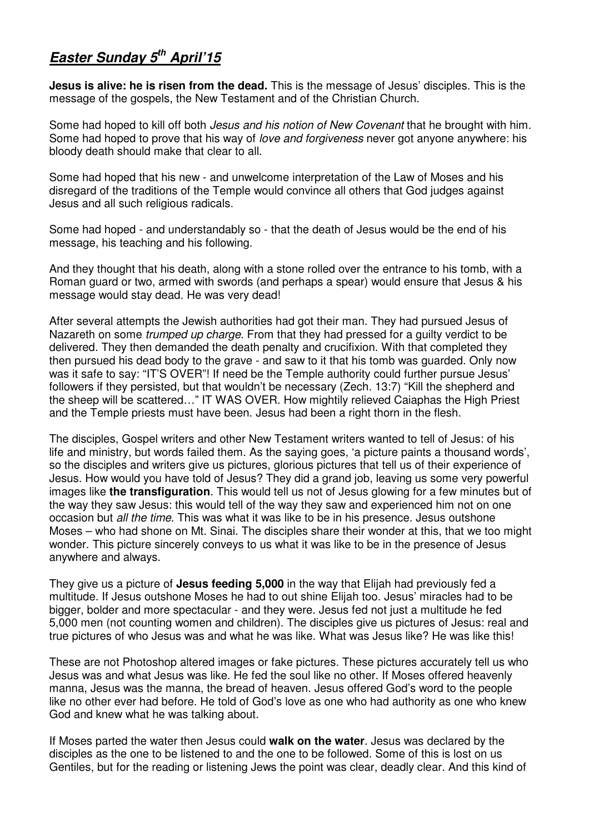## **Easter Sunday 5th April'15**

**Jesus is alive: he is risen from the dead.** This is the message of Jesus' disciples. This is the message of the gospels, the New Testament and of the Christian Church.

Some had hoped to kill off both *Jesus and his notion of New Covenant* that he brought with him. Some had hoped to prove that his way of love and forgiveness never got anyone anywhere: his bloody death should make that clear to all.

Some had hoped that his new - and unwelcome interpretation of the Law of Moses and his disregard of the traditions of the Temple would convince all others that God judges against Jesus and all such religious radicals.

Some had hoped - and understandably so - that the death of Jesus would be the end of his message, his teaching and his following.

And they thought that his death, along with a stone rolled over the entrance to his tomb, with a Roman guard or two, armed with swords (and perhaps a spear) would ensure that Jesus & his message would stay dead. He was very dead!

After several attempts the Jewish authorities had got their man. They had pursued Jesus of Nazareth on some *trumped up charge*. From that they had pressed for a quilty verdict to be delivered. They then demanded the death penalty and crucifixion. With that completed they then pursued his dead body to the grave - and saw to it that his tomb was guarded. Only now was it safe to say: "IT'S OVER"! If need be the Temple authority could further pursue Jesus' followers if they persisted, but that wouldn't be necessary (Zech. 13:7) "Kill the shepherd and the sheep will be scattered…" IT WAS OVER. How mightily relieved Caiaphas the High Priest and the Temple priests must have been. Jesus had been a right thorn in the flesh.

The disciples, Gospel writers and other New Testament writers wanted to tell of Jesus: of his life and ministry, but words failed them. As the saying goes, 'a picture paints a thousand words', so the disciples and writers give us pictures, glorious pictures that tell us of their experience of Jesus. How would you have told of Jesus? They did a grand job, leaving us some very powerful images like **the transfiguration**. This would tell us not of Jesus glowing for a few minutes but of the way they saw Jesus: this would tell of the way they saw and experienced him not on one occasion but all the time. This was what it was like to be in his presence. Jesus outshone Moses – who had shone on Mt. Sinai. The disciples share their wonder at this, that we too might wonder. This picture sincerely conveys to us what it was like to be in the presence of Jesus anywhere and always.

They give us a picture of **Jesus feeding 5,000** in the way that Elijah had previously fed a multitude. If Jesus outshone Moses he had to out shine Elijah too. Jesus' miracles had to be bigger, bolder and more spectacular - and they were. Jesus fed not just a multitude he fed 5,000 men (not counting women and children). The disciples give us pictures of Jesus: real and true pictures of who Jesus was and what he was like. What was Jesus like? He was like this!

These are not Photoshop altered images or fake pictures. These pictures accurately tell us who Jesus was and what Jesus was like. He fed the soul like no other. If Moses offered heavenly manna, Jesus was the manna, the bread of heaven. Jesus offered God's word to the people like no other ever had before. He told of God's love as one who had authority as one who knew God and knew what he was talking about.

If Moses parted the water then Jesus could **walk on the water**. Jesus was declared by the disciples as the one to be listened to and the one to be followed. Some of this is lost on us Gentiles, but for the reading or listening Jews the point was clear, deadly clear. And this kind of